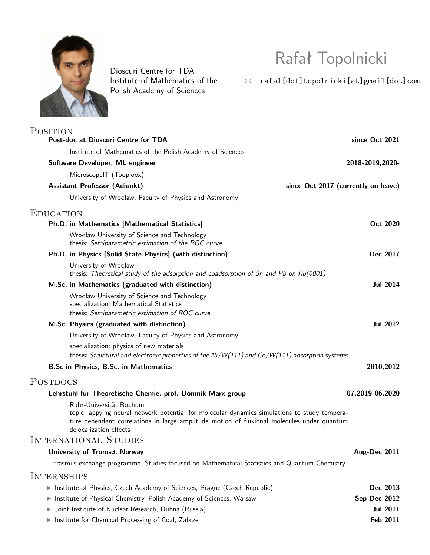

Dioscuri Centre for TDA Institute of Mathematics of the Polish Academy of Sciences

Rafał Topolnicki

 $\quad \boxtimes \quad \texttt{rad[dot] topolnicki[at]gmail[dot]com}$ 

| <b>POSITION</b>                                                                                                                                                                                                                                 |                                     |
|-------------------------------------------------------------------------------------------------------------------------------------------------------------------------------------------------------------------------------------------------|-------------------------------------|
| Post-doc at Dioscuri Centre for TDA                                                                                                                                                                                                             | since Oct 2021                      |
| Institute of Mathematics of the Polish Academy of Sciences                                                                                                                                                                                      |                                     |
| Software Developer, ML engineer                                                                                                                                                                                                                 | 2018-2019,2020-                     |
| MicroscopelT (Tooploox)                                                                                                                                                                                                                         |                                     |
| <b>Assistant Professor (Adiunkt)</b>                                                                                                                                                                                                            | since Oct 2017 (currently on leave) |
| University of Wrocław, Faculty of Physics and Astronomy                                                                                                                                                                                         |                                     |
| <b>EDUCATION</b>                                                                                                                                                                                                                                |                                     |
| Ph.D. in Mathematics [Mathematical Statistics]                                                                                                                                                                                                  | Oct 2020                            |
| Wrocław University of Science and Technology<br>thesis: Semiparametric estimation of the ROC curve                                                                                                                                              |                                     |
| Ph.D. in Physics [Solid State Physics] (with distinction)                                                                                                                                                                                       | Dec 2017                            |
| University of Wrocław<br>thesis: Theoretical study of the adsorption and coadsorption of Sn and Pb on $Ru(0001)$                                                                                                                                |                                     |
| M.Sc. in Mathematics (graduated with distinction)                                                                                                                                                                                               | <b>Jul 2014</b>                     |
| Wrocław University of Science and Technology<br>specialization: Mathematical Statistics<br>thesis: Semiparametric estimation of ROC curve                                                                                                       |                                     |
| M.Sc. Physics (graduated with distinction)                                                                                                                                                                                                      | <b>Jul 2012</b>                     |
| University of Wrocław, Faculty of Physics and Astronomy                                                                                                                                                                                         |                                     |
| specialization: physics of new materials<br>thesis: Structural and electronic properties of the $Ni/W(111)$ and $Co/W(111)$ adsorption systems                                                                                                  |                                     |
| B.Sc in Physics, B.Sc. in Mathematics                                                                                                                                                                                                           | 2010,2012                           |
| <b>POSTDOCS</b>                                                                                                                                                                                                                                 |                                     |
| Lehrstuhl für Theoretische Chemie, prof. Domnik Marx group                                                                                                                                                                                      | 07.2019-06.2020                     |
| Ruhr-Universität Bochum<br>topic: appying neural network potential for molecular dynamics simulations to study tempera-<br>ture dependant correlations in large amplitude motion of fluxional molecules under quantum<br>delocalization effects |                                     |
| INTERNATIONAL STUDIES                                                                                                                                                                                                                           |                                     |
| University of Tromsø, Norway                                                                                                                                                                                                                    | Aug-Dec 2011                        |
| Erasmus exchange programme. Studies focused on Mathematical Statistics and Quantum Chemistry                                                                                                                                                    |                                     |
| INTERNSHIPS                                                                                                                                                                                                                                     |                                     |
| Institute of Physics, Czech Academy of Sciences, Prague (Czech Republic)                                                                                                                                                                        | Dec 2013                            |
| Institute of Physical Chemistry, Polish Academy of Sciences, Warsaw                                                                                                                                                                             | Sep-Dec 2012                        |
| Joint Institute of Nuclear Research, Dubna (Russia)<br>Þ.                                                                                                                                                                                       | <b>Jul 2011</b>                     |
| Institute for Chemical Processing of Coal, Zabrze                                                                                                                                                                                               | Feb 2011                            |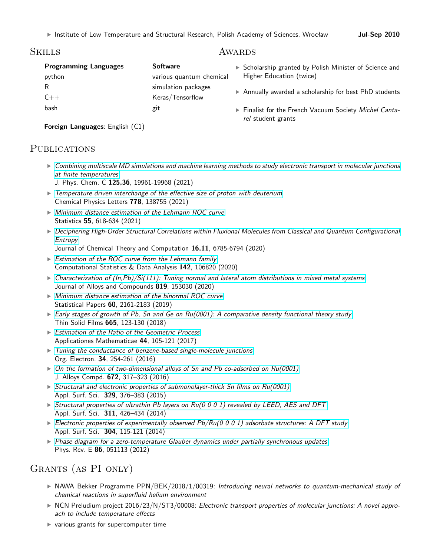## Skills

#### **Programming Languages Software** python various quantum chemical R simulation packages C++ Keras/Tensorflow bash git · Scholarship granted by Polish Minister of Science and Higher Education (twice) · Annually awarded a scholarship for best PhD students · Finalist for the French Vacuum Society *Michel Cantarel* student grants

AWARDS

**Foreign Languages**: English (C1)

## PUBLICATIONS

- · *[Combining multiscale MD simulations and machine learning methods to study electronic transport in molecular junctions](https://pubs.acs.org/doi/abs/10.1021/acs.jpcc.1c03210) [at finite temperatures](https://pubs.acs.org/doi/abs/10.1021/acs.jpcc.1c03210)*
	- J. Phys. Chem. C **125,36**, 19961-19968 (2021)
- · *[Temperature driven interchange of the effective size of proton with deuterium](https://www.sciencedirect.com/science/article/pii/S0009261421004589)* Chemical Physics Letters **778**, 138755 (2021)
- · *[Minimum distance estimation of the Lehmann ROC curve](https://www.tandfonline.com/doi/full/10.1080/02331888.2021.1960528)* Statistics **55**, 618-634 (2021)
- · *[Deciphering High-Order Structural Correlations within Fluxional Molecules from Classical and Quantum Configurational](https://pubs.acs.org/doi/10.1021/acs.jctc.0c00642) [Entropy](https://pubs.acs.org/doi/10.1021/acs.jctc.0c00642)*
	- Journal of Chemical Theory and Computation **16,11**, 6785-6794 (2020)
- · *[Estimation of the ROC curve from the Lehmann family](https://www.sciencedirect.com/science/article/abs/pii/S0167947319301677)* Computational Statistics & Data Analysis **142**, 106820 (2020)
- · *[Characterization of \(In,Pb\)/Si\(111\): Tuning normal and lateral atom distributions in mixed metal systems](https://www.sciencedirect.com/science/article/abs/pii/S0925838819342768)* Journal of Alloys and Compounds **819**, 153030 (2020)
- · *[Minimum distance estimation of the binormal ROC curve](https://link.springer.com/article/10.1007/s00362-017-0915-7)* Statistical Papers **60**, 2161-2183 (2019)
- · *[Early stages of growth of Pb, Sn and Ge on Ru\(0001\): A comparative density functional theory study](https://www.sciencedirect.com/science/article/abs/pii/S0040609018305790)* Thin Solid Films **665**, 123-130 (2018)
- · *[Estimation of the Ratio of the Geometric Process](https://www.impan.pl/en/publishing-house/journals-and-series/applicationes-mathematicae/all/44/1/92085/estimation-of-the-ratio-of-a-geometric-process)* Applicationes Mathematicae **44**, 105-121 (2017)
- · *[Tuning the conductance of benzene-based single-molecule junctions](http://www.sciencedirect.com/science/article/pii/S1566119916301811)* Org. Electron. **34**, 254-261 (2016)
- · *[On the formation of two-dimensional alloys of Sn and Pb co-adsorbed on Ru\(0001\)](http://www.sciencedirect.com/science/article/pii/S092583881630408X)* J. Alloys Compd. **672**, 317–323 (2016)
- · *[Structural and electronic properties of submonolayer-thick Sn films on Ru\(0001\)](http://www.sciencedirect.com/science/article/pii/S0169433214028918)* Appl. Surf. Sci. **329**, 376–383 (2015)
- · *[Structural properties of ultrathin Pb layers on Ru\(0 0 0 1\) revealed by LEED, AES and DFT](http://www.sciencedirect.com/science/article/pii/S0169433214010964)* Appl. Surf. Sci. **311**, 426–434 (2014)
- · *[Electronic properties of experimentally observed Pb/Ru\(0 0 0 1\) adsorbate structures: A DFT study](http://www.sciencedirect.com/science/article/pii/S0169433214002128)* Appl. Surf. Sci. **304**, 115-121 (2014)
- · *[Phase diagram for a zero-temperature Glauber dynamics under partially synchronous updates](http://journals.aps.org/pre/abstract/10.1103/PhysRevE.86.051113)* Phys. Rev. E **86**, 051113 (2012)

## Grants (as PI only)

- · NAWA Bekker Programme PPN/BEK/2018/1/00319: *Introducing neural networks to quantum-mechanical study of chemical reactions in superfluid helium environment*
- · NCN Preludium project 2016/23/N/ST3/00008: *Electronic transport properties of molecular junctions: A novel approach to include temperature effects*
- · various grants for supercomputer time